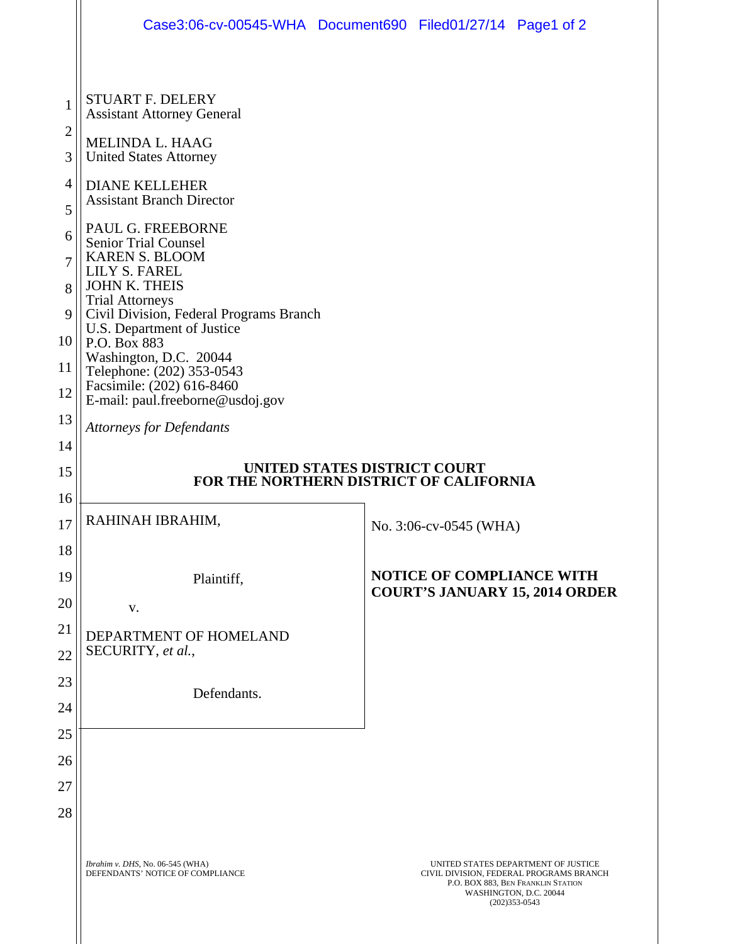|                                     | Case3:06-cv-00545-WHA Document690 Filed01/27/14 Page1 of 2                                                                                                                                                                                                                                                                                                    |  |                                  |                                                                                                                                                                     |
|-------------------------------------|---------------------------------------------------------------------------------------------------------------------------------------------------------------------------------------------------------------------------------------------------------------------------------------------------------------------------------------------------------------|--|----------------------------------|---------------------------------------------------------------------------------------------------------------------------------------------------------------------|
| $\mathbf{1}$<br>$\overline{2}$<br>3 | <b>STUART F. DELERY</b><br><b>Assistant Attorney General</b><br>MELINDA L. HAAG<br><b>United States Attorney</b>                                                                                                                                                                                                                                              |  |                                  |                                                                                                                                                                     |
| $\overline{4}$<br>5                 | <b>DIANE KELLEHER</b><br><b>Assistant Branch Director</b>                                                                                                                                                                                                                                                                                                     |  |                                  |                                                                                                                                                                     |
| 6<br>7<br>8<br>9<br>10<br>11<br>12  | PAUL G. FREEBORNE<br><b>Senior Trial Counsel</b><br><b>KAREN S. BLOOM</b><br>LILY S. FAREL<br><b>JOHN K. THEIS</b><br><b>Trial Attorneys</b><br>Civil Division, Federal Programs Branch<br>U.S. Department of Justice<br>P.O. Box 883<br>Washington, D.C. 20044<br>Telephone: (202) 353-0543<br>Facsimile: (202) 616-8460<br>E-mail: paul.freeborne@usdoj.gov |  |                                  |                                                                                                                                                                     |
| 13                                  | <b>Attorneys for Defendants</b>                                                                                                                                                                                                                                                                                                                               |  |                                  |                                                                                                                                                                     |
| 14<br>15<br>16                      | UNITED STATES DISTRICT COURT<br>FOR THE NORTHERN DISTRICT OF CALIFORNIA                                                                                                                                                                                                                                                                                       |  |                                  |                                                                                                                                                                     |
| 17                                  | RAHINAH IBRAHIM,                                                                                                                                                                                                                                                                                                                                              |  | No. 3:06-cv-0545 (WHA)           |                                                                                                                                                                     |
| 18<br>19<br>20                      | Plaintiff,<br>V.                                                                                                                                                                                                                                                                                                                                              |  | <b>NOTICE OF COMPLIANCE WITH</b> | <b>COURT'S JANUARY 15, 2014 ORDER</b>                                                                                                                               |
| 21<br>22                            | DEPARTMENT OF HOMELAND<br>SECURITY, et al.,                                                                                                                                                                                                                                                                                                                   |  |                                  |                                                                                                                                                                     |
| 23<br>24                            | Defendants.                                                                                                                                                                                                                                                                                                                                                   |  |                                  |                                                                                                                                                                     |
| 25<br>26<br>27<br>28                |                                                                                                                                                                                                                                                                                                                                                               |  |                                  |                                                                                                                                                                     |
|                                     | Ibrahim v. DHS, No. 06-545 (WHA)<br>DEFENDANTS' NOTICE OF COMPLIANCE                                                                                                                                                                                                                                                                                          |  |                                  | UNITED STATES DEPARTMENT OF JUSTICE<br>CIVIL DIVISION, FEDERAL PROGRAMS BRANCH<br>P.O. BOX 883, BEN FRANKLIN STATION<br>WASHINGTON, D.C. 20044<br>$(202)353 - 0543$ |